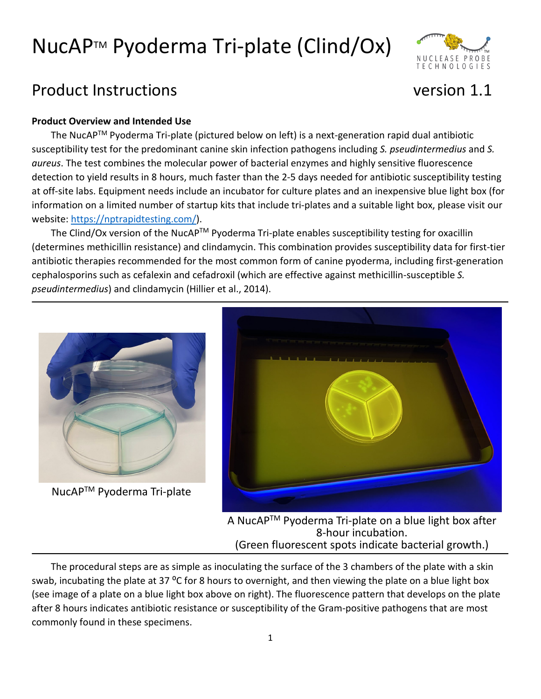

### Product Instructions version 1.1

#### **Product Overview and Intended Use**

The NucAPTM Pyoderma Tri-plate (pictured below on left) is a next-generation rapid dual antibiotic susceptibility test for the predominant canine skin infection pathogens including *S. pseudintermedius* and *S. aureus*. The test combines the molecular power of bacterial enzymes and highly sensitive fluorescence detection to yield results in 8 hours, much faster than the 2-5 days needed for antibiotic susceptibility testing at off-site labs. Equipment needs include an incubator for culture plates and an inexpensive blue light box (for information on a limited number of startup kits that include tri-plates and a suitable light box, please visit our website: [https://nptrapidtesting.com/\)](https://nptrapidtesting.com/).

The Clind/Ox version of the NucAP<sup>™</sup> Pyoderma Tri-plate enables susceptibility testing for oxacillin (determines methicillin resistance) and clindamycin. This combination provides susceptibility data for first-tier antibiotic therapies recommended for the most common form of canine pyoderma, including first-generation cephalosporins such as cefalexin and cefadroxil (which are effective against methicillin-susceptible *S. pseudintermedius*) and clindamycin (Hillier et al., 2014).



NucAPTM Pyoderma Tri-plate



A NucAPTM Pyoderma Tri-plate on a blue light box after 8-hour incubation.<br>(Green fluorescent spots indicate bacterial growth.)

The procedural steps are as simple as inoculating the surface of the 3 chambers of the plate with a skin swab, incubating the plate at 37 °C for 8 hours to overnight, and then viewing the plate on a blue light box (see image of a plate on a blue light box above on right). The fluorescence pattern that develops on the plate after 8 hours indicates antibiotic resistance or susceptibility of the Gram-positive pathogens that are most commonly found in these specimens.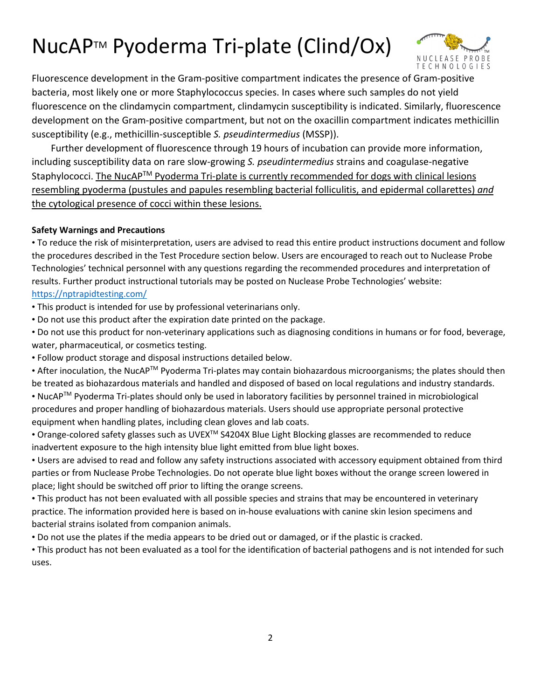

Fluorescence development in the Gram-positive compartment indicates the presence of Gram-positive bacteria, most likely one or more Staphylococcus species. In cases where such samples do not yield fluorescence on the clindamycin compartment, clindamycin susceptibility is indicated. Similarly, fluorescence development on the Gram-positive compartment, but not on the oxacillin compartment indicates methicillin susceptibility (e.g., methicillin-susceptible *S. pseudintermedius* (MSSP)).

Further development of fluorescence through 19 hours of incubation can provide more information, including susceptibility data on rare slow-growing *S. pseudintermedius* strains and coagulase-negative Staphylococci. The NucAP<sup>™</sup> Pyoderma Tri-plate is currently recommended for dogs with clinical lesions resembling pyoderma (pustules and papules resembling bacterial folliculitis, and epidermal collarettes) *and* the cytological presence of cocci within these lesions.

#### **Safety Warnings and Precautions**

• To reduce the risk of misinterpretation, users are advised to read this entire product instructions document and follow the procedures described in the Test Procedure section below. Users are encouraged to reach out to Nuclease Probe Technologies' technical personnel with any questions regarding the recommended procedures and interpretation of results. Further product instructional tutorials may be posted on Nuclease Probe Technologies' website: <https://nptrapidtesting.com/>

• This product is intended for use by professional veterinarians only.

• Do not use this product after the expiration date printed on the package.

• Do not use this product for non-veterinary applications such as diagnosing conditions in humans or for food, beverage, water, pharmaceutical, or cosmetics testing.

• Follow product storage and disposal instructions detailed below.

• After inoculation, the NucAPTM Pyoderma Tri-plates may contain biohazardous microorganisms; the plates should then be treated as biohazardous materials and handled and disposed of based on local regulations and industry standards.

• NucAPTM Pyoderma Tri-plates should only be used in laboratory facilities by personnel trained in microbiological procedures and proper handling of biohazardous materials. Users should use appropriate personal protective equipment when handling plates, including clean gloves and lab coats.

• Orange-colored safety glasses such as UVEX<sup>TM</sup> S4204X Blue Light Blocking glasses are recommended to reduce inadvertent exposure to the high intensity blue light emitted from blue light boxes.

• Users are advised to read and follow any safety instructions associated with accessory equipment obtained from third parties or from Nuclease Probe Technologies. Do not operate blue light boxes without the orange screen lowered in place; light should be switched off prior to lifting the orange screens.

• This product has not been evaluated with all possible species and strains that may be encountered in veterinary practice. The information provided here is based on in-house evaluations with canine skin lesion specimens and bacterial strains isolated from companion animals.

• Do not use the plates if the media appears to be dried out or damaged, or if the plastic is cracked.

• This product has not been evaluated as a tool for the identification of bacterial pathogens and is not intended for such uses.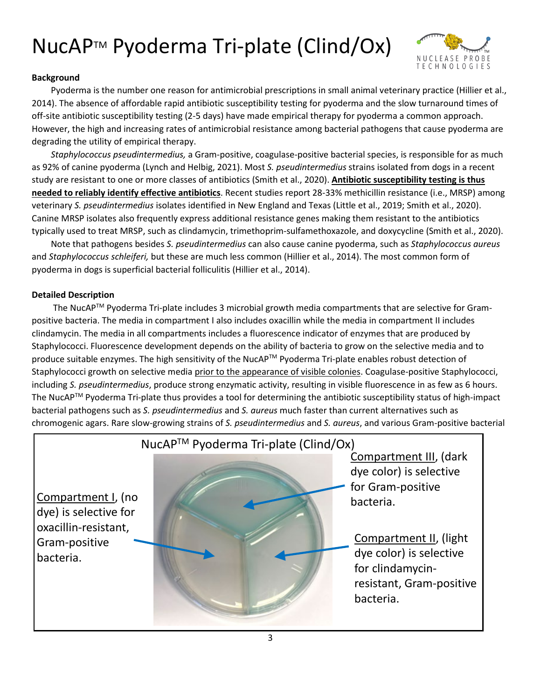

#### **Background**

Pyoderma is the number one reason for antimicrobial prescriptions in small animal veterinary practice (Hillier et al., 2014). The absence of affordable rapid antibiotic susceptibility testing for pyoderma and the slow turnaround times of off-site antibiotic susceptibility testing (2-5 days) have made empirical therapy for pyoderma a common approach. However, the high and increasing rates of antimicrobial resistance among bacterial pathogens that cause pyoderma are degrading the utility of empirical therapy.

*Staphylococcus pseudintermedius,* a Gram-positive, coagulase-positive bacterial species, is responsible for as much as 92% of canine pyoderma (Lynch and Helbig, 2021). Most *S. pseudintermedius* strains isolated from dogs in a recent study are resistant to one or more classes of antibiotics (Smith et al., 2020). **Antibiotic susceptibility testing is thus needed to reliably identify effective antibiotics**. Recent studies report 28-33% methicillin resistance (i.e., MRSP) among veterinary *S. pseudintermedius* isolates identified in New England and Texas (Little et al., 2019; Smith et al., 2020). Canine MRSP isolates also frequently express additional resistance genes making them resistant to the antibiotics typically used to treat MRSP, such as clindamycin, trimethoprim-sulfamethoxazole, and doxycycline (Smith et al., 2020).

Note that pathogens besides *S. pseudintermedius* can also cause canine pyoderma, such as *Staphylococcus aureus* and *Staphylococcus schleiferi,* but these are much less common (Hillier et al., 2014). The most common form of pyoderma in dogs is superficial bacterial folliculitis (Hillier et al., 2014).

#### **Detailed Description**

The NucAPTM Pyoderma Tri-plate includes 3 microbial growth media compartments that are selective for Grampositive bacteria. The media in compartment I also includes oxacillin while the media in compartment II includes clindamycin. The media in all compartments includes a fluorescence indicator of enzymes that are produced by Staphylococci. Fluorescence development depends on the ability of bacteria to grow on the selective media and to produce suitable enzymes. The high sensitivity of the NucAP™ Pyoderma Tri-plate enables robust detection of Staphylococci growth on selective media prior to the appearance of visible colonies. Coagulase-positive Staphylococci, including *S. pseudintermedius*, produce strong enzymatic activity, resulting in visible fluorescence in as few as 6 hours. The NucAPTM Pyoderma Tri-plate thus provides a tool for determining the antibiotic susceptibility status of high-impact bacterial pathogens such as *S. pseudintermedius* and *S. aureus* much faster than current alternatives such as chromogenic agars. Rare slow-growing strains of *S. pseudintermedius* and *S. aureus*, and various Gram-positive bacterial

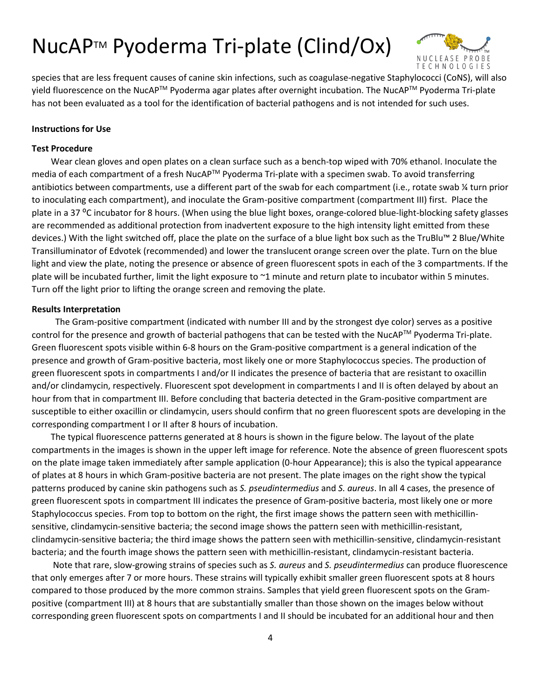

species that are less frequent causes of canine skin infections, such as coagulase-negative Staphylococci (CoNS), will also yield fluorescence on the NucAP<sup>TM</sup> Pyoderma agar plates after overnight incubation. The NucAP<sup>TM</sup> Pyoderma Tri-plate has not been evaluated as a tool for the identification of bacterial pathogens and is not intended for such uses.

#### **Instructions for Use**

#### **Test Procedure**

Wear clean gloves and open plates on a clean surface such as a bench-top wiped with 70% ethanol. Inoculate the media of each compartment of a fresh NucAP<sup>™</sup> Pyoderma Tri-plate with a specimen swab. To avoid transferring antibiotics between compartments, use a different part of the swab for each compartment (i.e., rotate swab ¼ turn prior to inoculating each compartment), and inoculate the Gram-positive compartment (compartment III) first. Place the plate in a 37 °C incubator for 8 hours. (When using the blue light boxes, orange-colored blue-light-blocking safety glasses are recommended as additional protection from inadvertent exposure to the high intensity light emitted from these devices.) With the light switched off, place the plate on the surface of a blue light box such as the TruBlu™ 2 Blue/White Transilluminator of Edvotek (recommended) and lower the translucent orange screen over the plate. Turn on the blue light and view the plate, noting the presence or absence of green fluorescent spots in each of the 3 compartments. If the plate will be incubated further, limit the light exposure to  $\sim$ 1 minute and return plate to incubator within 5 minutes. Turn off the light prior to lifting the orange screen and removing the plate.

#### **Results Interpretation**

The Gram-positive compartment (indicated with number III and by the strongest dye color) serves as a positive control for the presence and growth of bacterial pathogens that can be tested with the NucAP™ Pyoderma Tri-plate. Green fluorescent spots visible within 6-8 hours on the Gram-positive compartment is a general indication of the presence and growth of Gram-positive bacteria, most likely one or more Staphylococcus species. The production of green fluorescent spots in compartments I and/or II indicates the presence of bacteria that are resistant to oxacillin and/or clindamycin, respectively. Fluorescent spot development in compartments I and II is often delayed by about an hour from that in compartment III. Before concluding that bacteria detected in the Gram-positive compartment are susceptible to either oxacillin or clindamycin, users should confirm that no green fluorescent spots are developing in the corresponding compartment I or II after 8 hours of incubation.

The typical fluorescence patterns generated at 8 hours is shown in the figure below. The layout of the plate compartments in the images is shown in the upper left image for reference. Note the absence of green fluorescent spots on the plate image taken immediately after sample application (0-hour Appearance); this is also the typical appearance of plates at 8 hours in which Gram-positive bacteria are not present. The plate images on the right show the typical patterns produced by canine skin pathogens such as *S. pseudintermedius* and *S. aureus*. In all 4 cases, the presence of green fluorescent spots in compartment III indicates the presence of Gram-positive bacteria, most likely one or more Staphylococcus species. From top to bottom on the right, the first image shows the pattern seen with methicillinsensitive, clindamycin-sensitive bacteria; the second image shows the pattern seen with methicillin-resistant, clindamycin-sensitive bacteria; the third image shows the pattern seen with methicillin-sensitive, clindamycin-resistant bacteria; and the fourth image shows the pattern seen with methicillin-resistant, clindamycin-resistant bacteria.

Note that rare, slow-growing strains of species such as *S. aureus* and *S. pseudintermedius* can produce fluorescence that only emerges after 7 or more hours. These strains will typically exhibit smaller green fluorescent spots at 8 hours compared to those produced by the more common strains. Samples that yield green fluorescent spots on the Grampositive (compartment III) at 8 hours that are substantially smaller than those shown on the images below without corresponding green fluorescent spots on compartments I and II should be incubated for an additional hour and then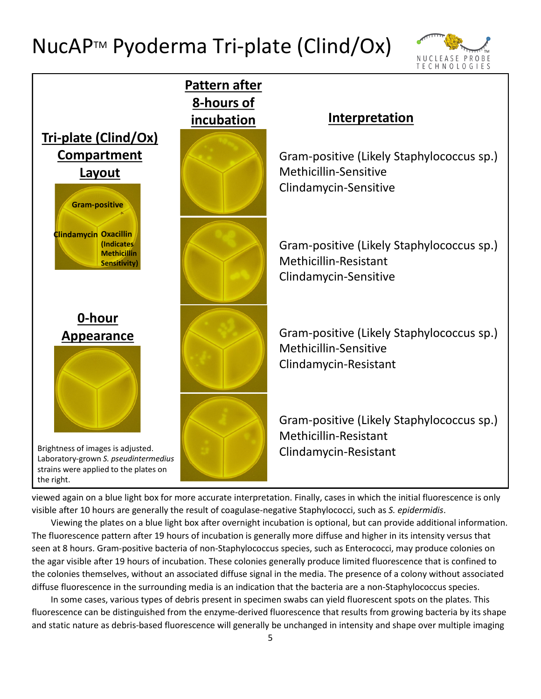



viewed again on a blue light box for more accurate interpretation. Finally, cases in which the initial fluorescence is only visible after 10 hours are generally the result of coagulase-negative Staphylococci, such as *S. epidermidis*.

Viewing the plates on a blue light box after overnight incubation is optional, but can provide additional information. The fluorescence pattern after 19 hours of incubation is generally more diffuse and higher in its intensity versus that seen at 8 hours. Gram-positive bacteria of non-Staphylococcus species, such as Enterococci, may produce colonies on the agar visible after 19 hours of incubation. These colonies generally produce limited fluorescence that is confined to the colonies themselves, without an associated diffuse signal in the media. The presence of a colony without associated diffuse fluorescence in the surrounding media is an indication that the bacteria are a non-Staphylococcus species.

In some cases, various types of debris present in specimen swabs can yield fluorescent spots on the plates. This fluorescence can be distinguished from the enzyme-derived fluorescence that results from growing bacteria by its shape and static nature as debris-based fluorescence will generally be unchanged in intensity and shape over multiple imaging